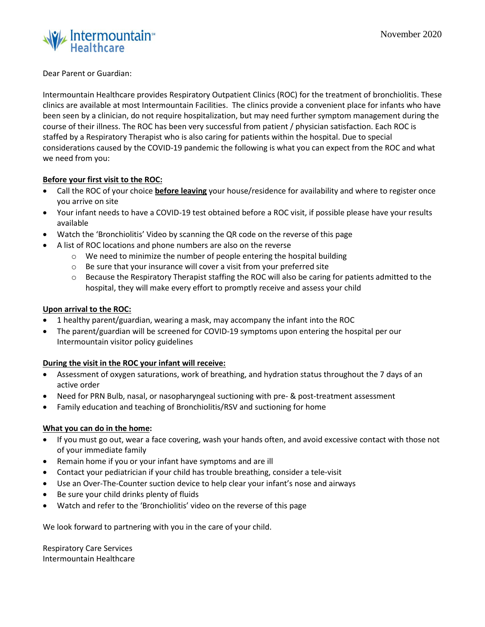

## Dear Parent or Guardian:

Intermountain Healthcare provides Respiratory Outpatient Clinics (ROC) for the treatment of bronchiolitis. These clinics are available at most Intermountain Facilities. The clinics provide a convenient place for infants who have been seen by a clinician, do not require hospitalization, but may need further symptom management during the course of their illness. The ROC has been very successful from patient / physician satisfaction. Each ROC is staffed by a Respiratory Therapist who is also caring for patients within the hospital. Due to special considerations caused by the COVID-19 pandemic the following is what you can expect from the ROC and what we need from you:

# **Before your first visit to the ROC:**

- Call the ROC of your choice **before leaving** your house/residence for availability and where to register once you arrive on site
- Your infant needs to have a COVID-19 test obtained before a ROC visit, if possible please have your results available
- Watch the 'Bronchiolitis' Video by scanning the QR code on the reverse of this page
- A list of ROC locations and phone numbers are also on the reverse
	- o We need to minimize the number of people entering the hospital building
	- o Be sure that your insurance will cover a visit from your preferred site
	- o Because the Respiratory Therapist staffing the ROC will also be caring for patients admitted to the hospital, they will make every effort to promptly receive and assess your child

## **Upon arrival to the ROC:**

- 1 healthy parent/guardian, wearing a mask, may accompany the infant into the ROC
- The parent/guardian will be screened for COVID-19 symptoms upon entering the hospital per our Intermountain visitor policy guidelines

## **During the visit in the ROC your infant will receive:**

- Assessment of oxygen saturations, work of breathing, and hydration status throughout the 7 days of an active order
- Need for PRN Bulb, nasal, or nasopharyngeal suctioning with pre- & post-treatment assessment
- Family education and teaching of Bronchiolitis/RSV and suctioning for home

## **What you can do in the home:**

- If you must go out, wear a face covering, wash your hands often, and avoid excessive contact with those not of your immediate family
- Remain home if you or your infant have symptoms and are ill
- Contact your pediatrician if your child has trouble breathing, consider a tele-visit
- Use an Over-The-Counter suction device to help clear your infant's nose and airways
- Be sure your child drinks plenty of fluids
- Watch and refer to the 'Bronchiolitis' video on the reverse of this page

We look forward to partnering with you in the care of your child.

Respiratory Care Services Intermountain Healthcare